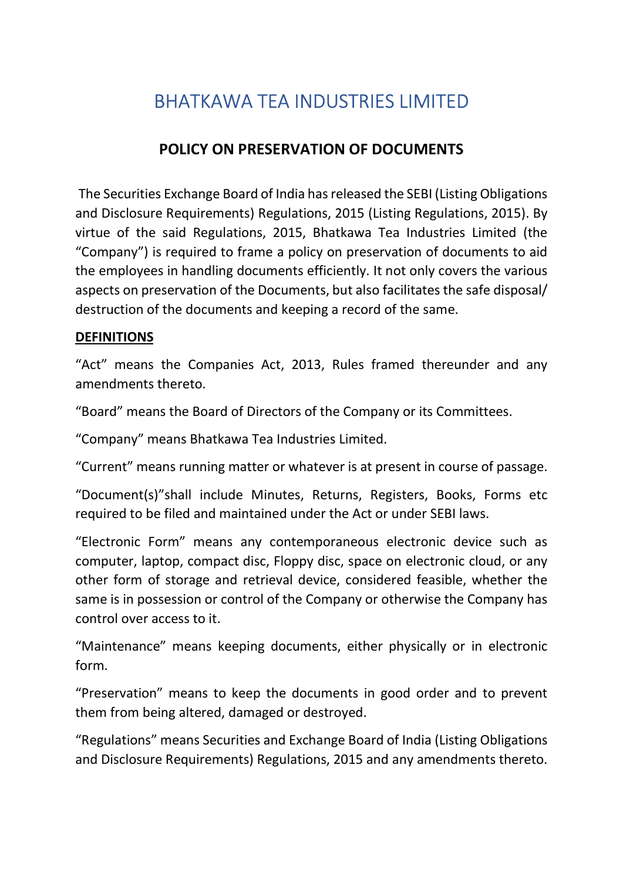# BHATKAWA TEA INDUSTRIES LIMITED

# POLICY ON PRESERVATION OF DOCUMENTS

 The Securities Exchange Board of India has released the SEBI (Listing Obligations and Disclosure Requirements) Regulations, 2015 (Listing Regulations, 2015). By virtue of the said Regulations, 2015, Bhatkawa Tea Industries Limited (the "Company") is required to frame a policy on preservation of documents to aid the employees in handling documents efficiently. It not only covers the various aspects on preservation of the Documents, but also facilitates the safe disposal/ destruction of the documents and keeping a record of the same.

## **DEFINITIONS**

"Act" means the Companies Act, 2013, Rules framed thereunder and any amendments thereto.

"Board" means the Board of Directors of the Company or its Committees.

"Company" means Bhatkawa Tea Industries Limited.

"Current" means running matter or whatever is at present in course of passage.

"Document(s)"shall include Minutes, Returns, Registers, Books, Forms etc required to be filed and maintained under the Act or under SEBI laws.

"Electronic Form" means any contemporaneous electronic device such as computer, laptop, compact disc, Floppy disc, space on electronic cloud, or any other form of storage and retrieval device, considered feasible, whether the same is in possession or control of the Company or otherwise the Company has control over access to it.

"Maintenance" means keeping documents, either physically or in electronic form.

"Preservation" means to keep the documents in good order and to prevent them from being altered, damaged or destroyed.

"Regulations" means Securities and Exchange Board of India (Listing Obligations and Disclosure Requirements) Regulations, 2015 and any amendments thereto.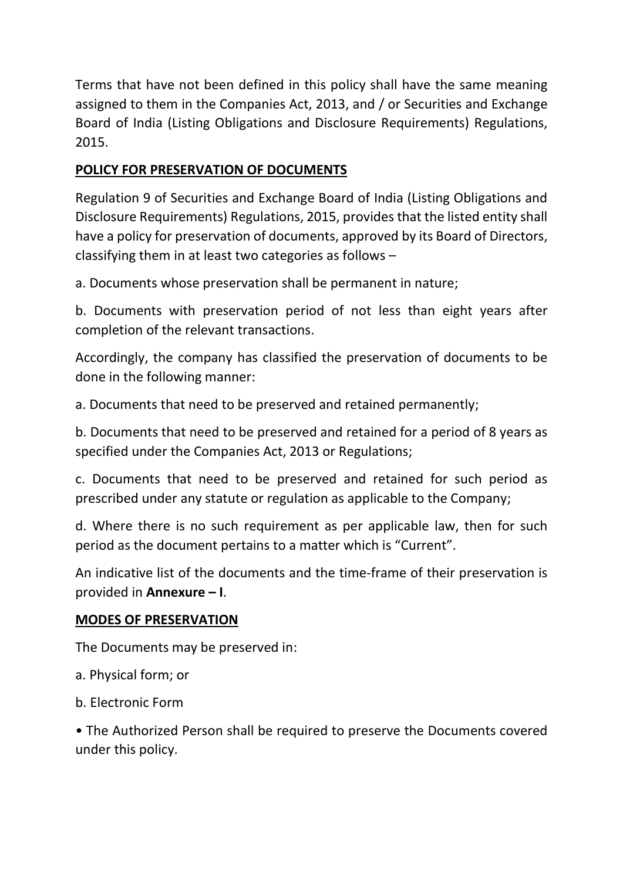Terms that have not been defined in this policy shall have the same meaning assigned to them in the Companies Act, 2013, and / or Securities and Exchange Board of India (Listing Obligations and Disclosure Requirements) Regulations, 2015.

# POLICY FOR PRESERVATION OF DOCUMENTS

Regulation 9 of Securities and Exchange Board of India (Listing Obligations and Disclosure Requirements) Regulations, 2015, provides that the listed entity shall have a policy for preservation of documents, approved by its Board of Directors, classifying them in at least two categories as follows –

a. Documents whose preservation shall be permanent in nature;

b. Documents with preservation period of not less than eight years after completion of the relevant transactions.

Accordingly, the company has classified the preservation of documents to be done in the following manner:

a. Documents that need to be preserved and retained permanently;

b. Documents that need to be preserved and retained for a period of 8 years as specified under the Companies Act, 2013 or Regulations;

c. Documents that need to be preserved and retained for such period as prescribed under any statute or regulation as applicable to the Company;

d. Where there is no such requirement as per applicable law, then for such period as the document pertains to a matter which is "Current".

An indicative list of the documents and the time-frame of their preservation is provided in Annexure – I.

## MODES OF PRESERVATION

The Documents may be preserved in:

a. Physical form; or

b. Electronic Form

• The Authorized Person shall be required to preserve the Documents covered under this policy.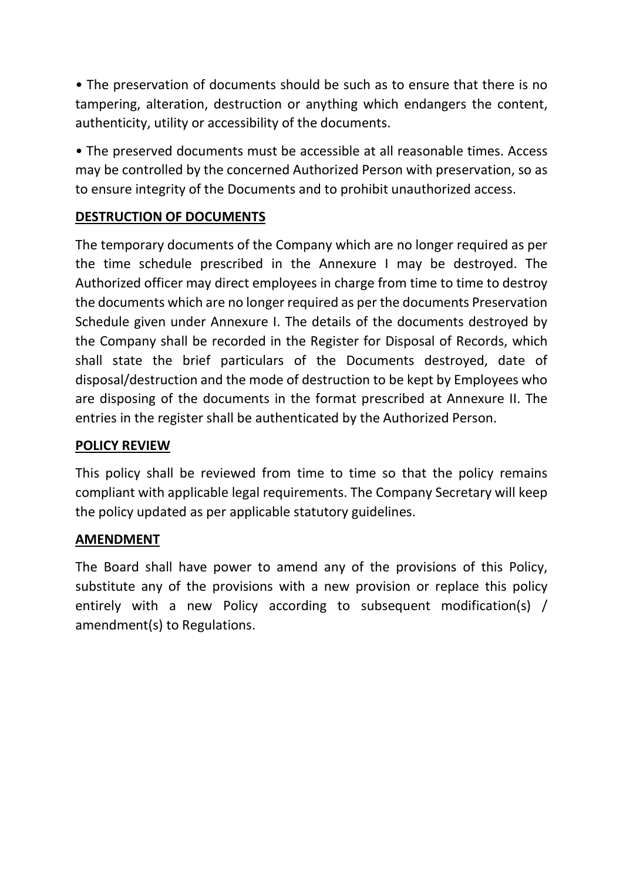• The preservation of documents should be such as to ensure that there is no tampering, alteration, destruction or anything which endangers the content, authenticity, utility or accessibility of the documents.

• The preserved documents must be accessible at all reasonable times. Access may be controlled by the concerned Authorized Person with preservation, so as to ensure integrity of the Documents and to prohibit unauthorized access.

# DESTRUCTION OF DOCUMENTS

The temporary documents of the Company which are no longer required as per the time schedule prescribed in the Annexure I may be destroyed. The Authorized officer may direct employees in charge from time to time to destroy the documents which are no longer required as per the documents Preservation Schedule given under Annexure I. The details of the documents destroyed by the Company shall be recorded in the Register for Disposal of Records, which shall state the brief particulars of the Documents destroyed, date of disposal/destruction and the mode of destruction to be kept by Employees who are disposing of the documents in the format prescribed at Annexure II. The entries in the register shall be authenticated by the Authorized Person.

## POLICY REVIEW

This policy shall be reviewed from time to time so that the policy remains compliant with applicable legal requirements. The Company Secretary will keep the policy updated as per applicable statutory guidelines.

#### **AMENDMENT**

The Board shall have power to amend any of the provisions of this Policy, substitute any of the provisions with a new provision or replace this policy entirely with a new Policy according to subsequent modification(s) / amendment(s) to Regulations.